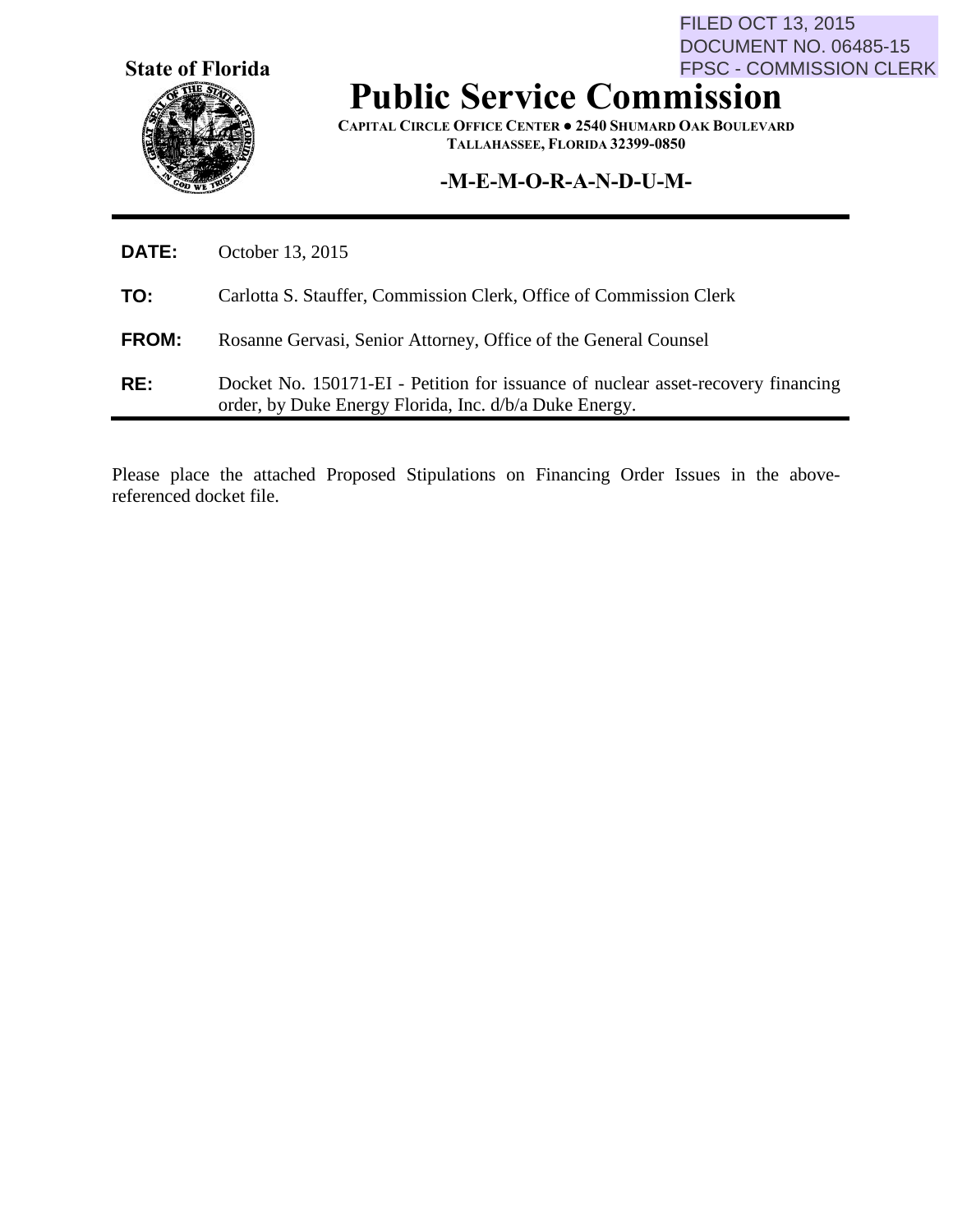**State of Florida**

FILED OCT 13, 2015 DOCUMENT NO. 06485-15 FPSC - COMMISSION CLERK

# **Public Service Commission**

**CAPITAL CIRCLE OFFICE CENTER ● 2540 SHUMARD OAK BOULEVARD TALLAHASSEE, FLORIDA 32399-0850**

# **-M-E-M-O-R-A-N-D-U-M-**

| RE:          | Docket No. 150171-EI - Petition for issuance of nuclear asset-recovery financing<br>order, by Duke Energy Florida, Inc. d/b/a Duke Energy. |
|--------------|--------------------------------------------------------------------------------------------------------------------------------------------|
| <b>FROM:</b> | Rosanne Gervasi, Senior Attorney, Office of the General Counsel                                                                            |
| TO:          | Carlotta S. Stauffer, Commission Clerk, Office of Commission Clerk                                                                         |
| <b>DATE:</b> | October 13, 2015                                                                                                                           |

Please place the attached Proposed Stipulations on Financing Order Issues in the abovereferenced docket file.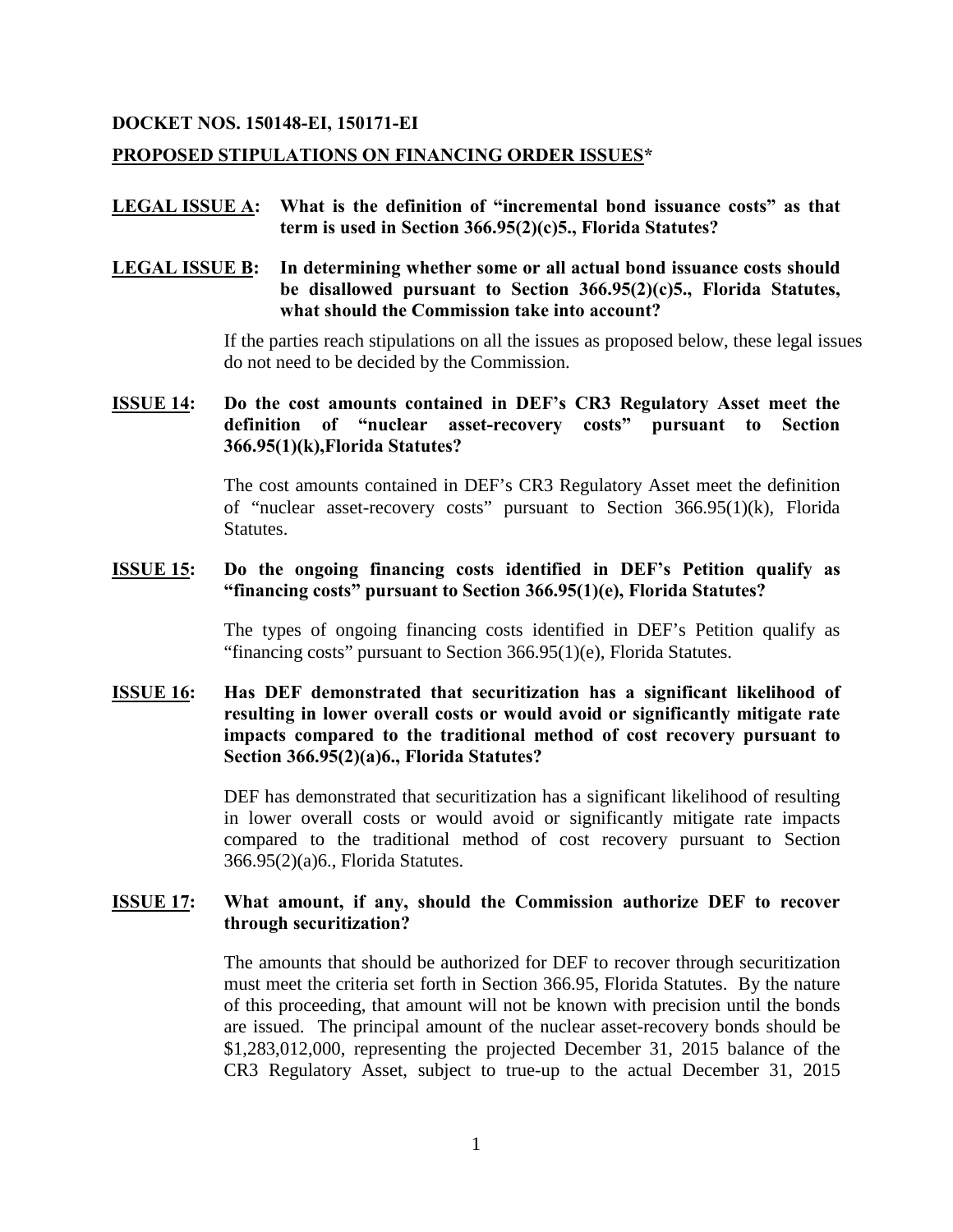#### **DOCKET NOS. 150148-EI, 150171-EI**

#### **PROPOSED STIPULATIONS ON FINANCING ORDER ISSUES\***

#### **LEGAL ISSUE A: What is the definition of "incremental bond issuance costs" as that term is used in Section 366.95(2)(c)5., Florida Statutes?**

## **LEGAL ISSUE B: In determining whether some or all actual bond issuance costs should be disallowed pursuant to Section 366.95(2)(c)5., Florida Statutes, what should the Commission take into account?**

If the parties reach stipulations on all the issues as proposed below, these legal issues do not need to be decided by the Commission.

# **ISSUE 14: Do the cost amounts contained in DEF's CR3 Regulatory Asset meet the definition of "nuclear asset-recovery costs" pursuant to Section 366.95(1)(k),Florida Statutes?**

The cost amounts contained in DEF's CR3 Regulatory Asset meet the definition of "nuclear asset-recovery costs" pursuant to Section 366.95(1)(k), Florida Statutes.

#### **ISSUE 15: Do the ongoing financing costs identified in DEF's Petition qualify as "financing costs" pursuant to Section 366.95(1)(e), Florida Statutes?**

The types of ongoing financing costs identified in DEF's Petition qualify as "financing costs" pursuant to Section 366.95(1)(e), Florida Statutes.

# **ISSUE 16: Has DEF demonstrated that securitization has a significant likelihood of resulting in lower overall costs or would avoid or significantly mitigate rate impacts compared to the traditional method of cost recovery pursuant to Section 366.95(2)(a)6., Florida Statutes?**

DEF has demonstrated that securitization has a significant likelihood of resulting in lower overall costs or would avoid or significantly mitigate rate impacts compared to the traditional method of cost recovery pursuant to Section 366.95(2)(a)6., Florida Statutes.

#### **ISSUE 17: What amount, if any, should the Commission authorize DEF to recover through securitization?**

The amounts that should be authorized for DEF to recover through securitization must meet the criteria set forth in Section 366.95, Florida Statutes. By the nature of this proceeding, that amount will not be known with precision until the bonds are issued. The principal amount of the nuclear asset-recovery bonds should be \$1,283,012,000, representing the projected December 31, 2015 balance of the CR3 Regulatory Asset, subject to true-up to the actual December 31, 2015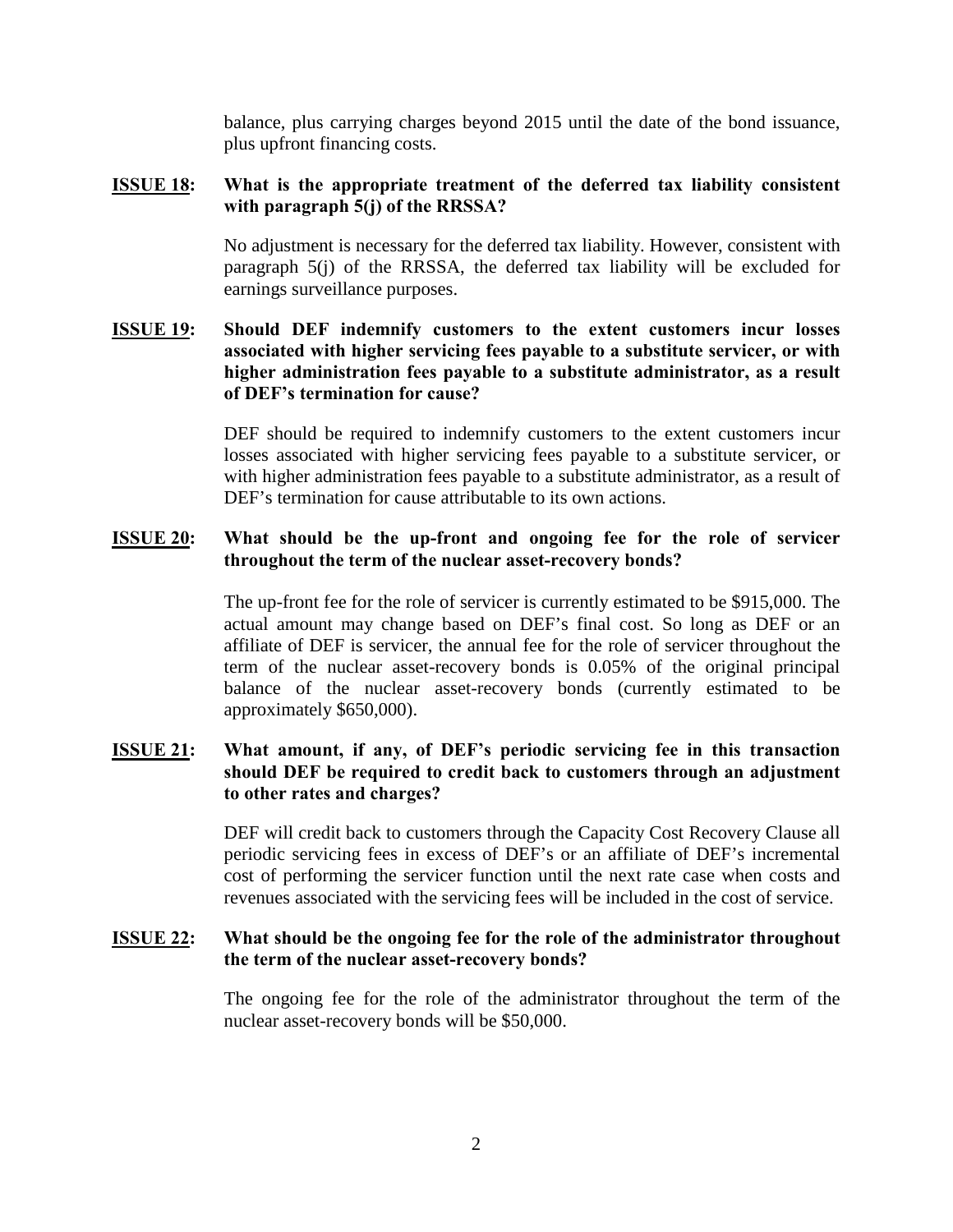balance, plus carrying charges beyond 2015 until the date of the bond issuance, plus upfront financing costs.

#### **ISSUE 18: What is the appropriate treatment of the deferred tax liability consistent with paragraph 5(j) of the RRSSA?**

No adjustment is necessary for the deferred tax liability. However, consistent with paragraph 5(j) of the RRSSA, the deferred tax liability will be excluded for earnings surveillance purposes.

# **ISSUE 19: Should DEF indemnify customers to the extent customers incur losses associated with higher servicing fees payable to a substitute servicer, or with higher administration fees payable to a substitute administrator, as a result of DEF's termination for cause?**

DEF should be required to indemnify customers to the extent customers incur losses associated with higher servicing fees payable to a substitute servicer, or with higher administration fees payable to a substitute administrator, as a result of DEF's termination for cause attributable to its own actions.

#### **ISSUE 20: What should be the up-front and ongoing fee for the role of servicer throughout the term of the nuclear asset-recovery bonds?**

The up-front fee for the role of servicer is currently estimated to be \$915,000. The actual amount may change based on DEF's final cost. So long as DEF or an affiliate of DEF is servicer, the annual fee for the role of servicer throughout the term of the nuclear asset-recovery bonds is 0.05% of the original principal balance of the nuclear asset-recovery bonds (currently estimated to be approximately \$650,000).

# **ISSUE 21: What amount, if any, of DEF's periodic servicing fee in this transaction should DEF be required to credit back to customers through an adjustment to other rates and charges?**

DEF will credit back to customers through the Capacity Cost Recovery Clause all periodic servicing fees in excess of DEF's or an affiliate of DEF's incremental cost of performing the servicer function until the next rate case when costs and revenues associated with the servicing fees will be included in the cost of service.

#### **ISSUE 22: What should be the ongoing fee for the role of the administrator throughout the term of the nuclear asset-recovery bonds?**

The ongoing fee for the role of the administrator throughout the term of the nuclear asset-recovery bonds will be \$50,000.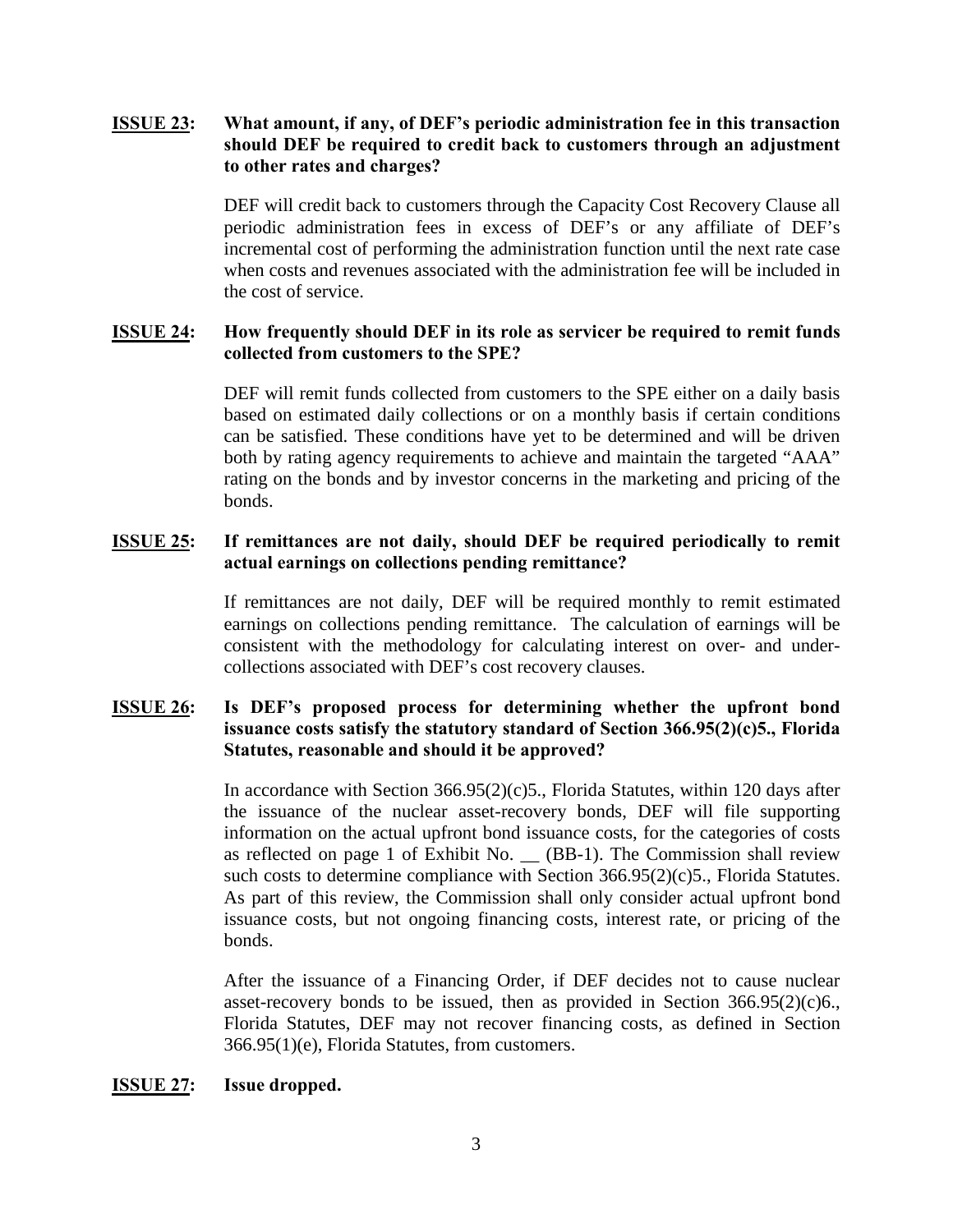# **ISSUE 23: What amount, if any, of DEF's periodic administration fee in this transaction should DEF be required to credit back to customers through an adjustment to other rates and charges?**

DEF will credit back to customers through the Capacity Cost Recovery Clause all periodic administration fees in excess of DEF's or any affiliate of DEF's incremental cost of performing the administration function until the next rate case when costs and revenues associated with the administration fee will be included in the cost of service.

#### **ISSUE 24: How frequently should DEF in its role as servicer be required to remit funds collected from customers to the SPE?**

DEF will remit funds collected from customers to the SPE either on a daily basis based on estimated daily collections or on a monthly basis if certain conditions can be satisfied. These conditions have yet to be determined and will be driven both by rating agency requirements to achieve and maintain the targeted "AAA" rating on the bonds and by investor concerns in the marketing and pricing of the bonds.

# **ISSUE 25: If remittances are not daily, should DEF be required periodically to remit actual earnings on collections pending remittance?**

If remittances are not daily, DEF will be required monthly to remit estimated earnings on collections pending remittance. The calculation of earnings will be consistent with the methodology for calculating interest on over- and undercollections associated with DEF's cost recovery clauses.

# **ISSUE 26: Is DEF's proposed process for determining whether the upfront bond issuance costs satisfy the statutory standard of Section 366.95(2)(c)5., Florida Statutes, reasonable and should it be approved?**

In accordance with Section 366.95(2)(c)5., Florida Statutes, within 120 days after the issuance of the nuclear asset-recovery bonds, DEF will file supporting information on the actual upfront bond issuance costs, for the categories of costs as reflected on page 1 of Exhibit No. \_\_ (BB-1). The Commission shall review such costs to determine compliance with Section 366.95(2)(c)5., Florida Statutes. As part of this review, the Commission shall only consider actual upfront bond issuance costs, but not ongoing financing costs, interest rate, or pricing of the bonds.

After the issuance of a Financing Order, if DEF decides not to cause nuclear asset-recovery bonds to be issued, then as provided in Section  $366.95(2)(c)6$ . Florida Statutes, DEF may not recover financing costs, as defined in Section 366.95(1)(e), Florida Statutes, from customers.

#### **ISSUE 27: Issue dropped.**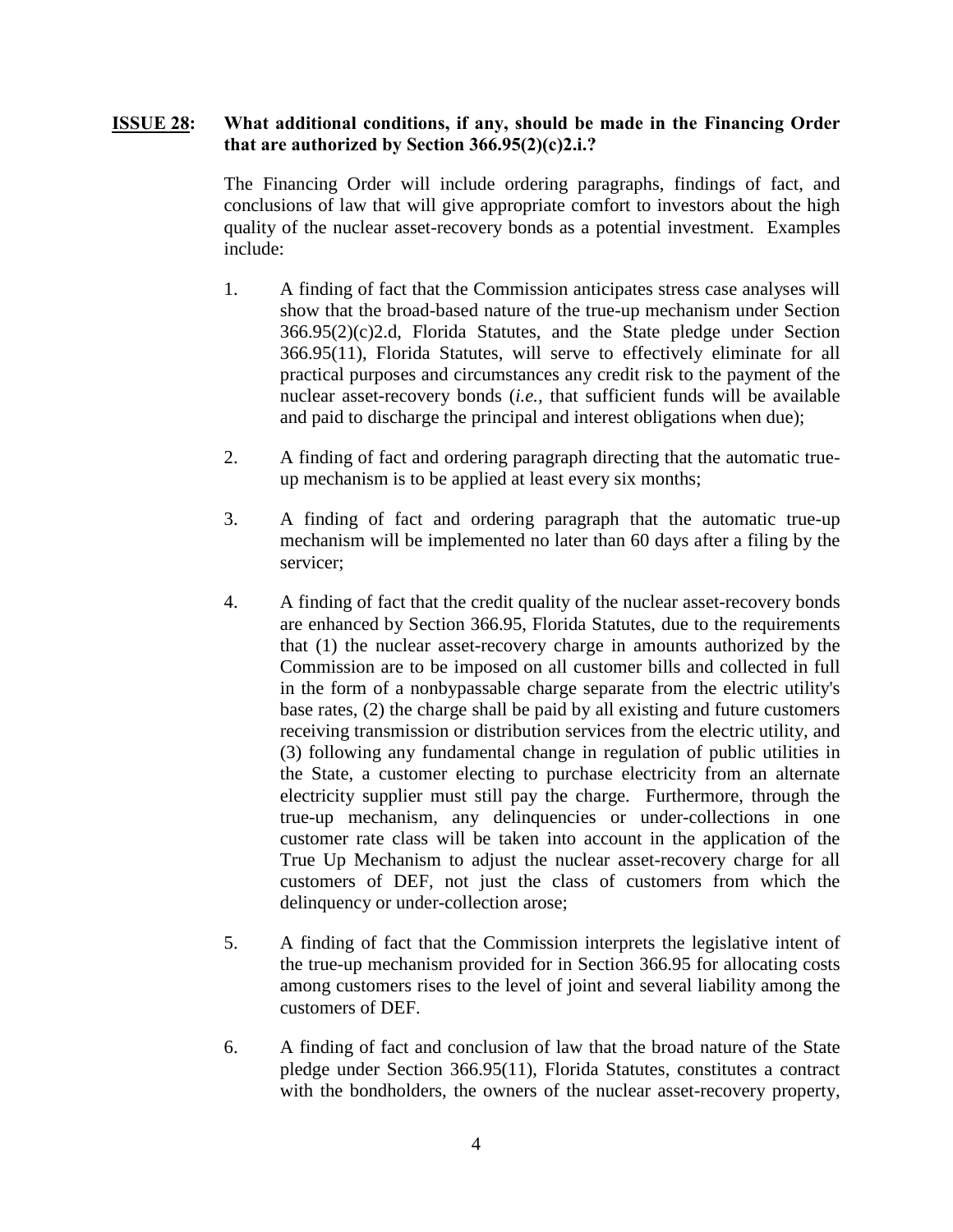#### **ISSUE 28: What additional conditions, if any, should be made in the Financing Order that are authorized by Section 366.95(2)(c)2.i.?**

The Financing Order will include ordering paragraphs, findings of fact, and conclusions of law that will give appropriate comfort to investors about the high quality of the nuclear asset-recovery bonds as a potential investment. Examples include:

- 1. A finding of fact that the Commission anticipates stress case analyses will show that the broad-based nature of the true-up mechanism under Section 366.95(2)(c)2.d, Florida Statutes, and the State pledge under Section 366.95(11), Florida Statutes, will serve to effectively eliminate for all practical purposes and circumstances any credit risk to the payment of the nuclear asset-recovery bonds (*i.e.,* that sufficient funds will be available and paid to discharge the principal and interest obligations when due);
- 2. A finding of fact and ordering paragraph directing that the automatic trueup mechanism is to be applied at least every six months;
- 3. A finding of fact and ordering paragraph that the automatic true-up mechanism will be implemented no later than 60 days after a filing by the servicer;
- 4. A finding of fact that the credit quality of the nuclear asset-recovery bonds are enhanced by Section 366.95, Florida Statutes, due to the requirements that (1) the nuclear asset-recovery charge in amounts authorized by the Commission are to be imposed on all customer bills and collected in full in the form of a nonbypassable charge separate from the electric utility's base rates, (2) the charge shall be paid by all existing and future customers receiving transmission or distribution services from the electric utility, and (3) following any fundamental change in regulation of public utilities in the State, a customer electing to purchase electricity from an alternate electricity supplier must still pay the charge. Furthermore, through the true-up mechanism, any delinquencies or under-collections in one customer rate class will be taken into account in the application of the True Up Mechanism to adjust the nuclear asset-recovery charge for all customers of DEF, not just the class of customers from which the delinquency or under-collection arose;
- 5. A finding of fact that the Commission interprets the legislative intent of the true-up mechanism provided for in Section 366.95 for allocating costs among customers rises to the level of joint and several liability among the customers of DEF.
- 6. A finding of fact and conclusion of law that the broad nature of the State pledge under Section 366.95(11), Florida Statutes, constitutes a contract with the bondholders, the owners of the nuclear asset-recovery property,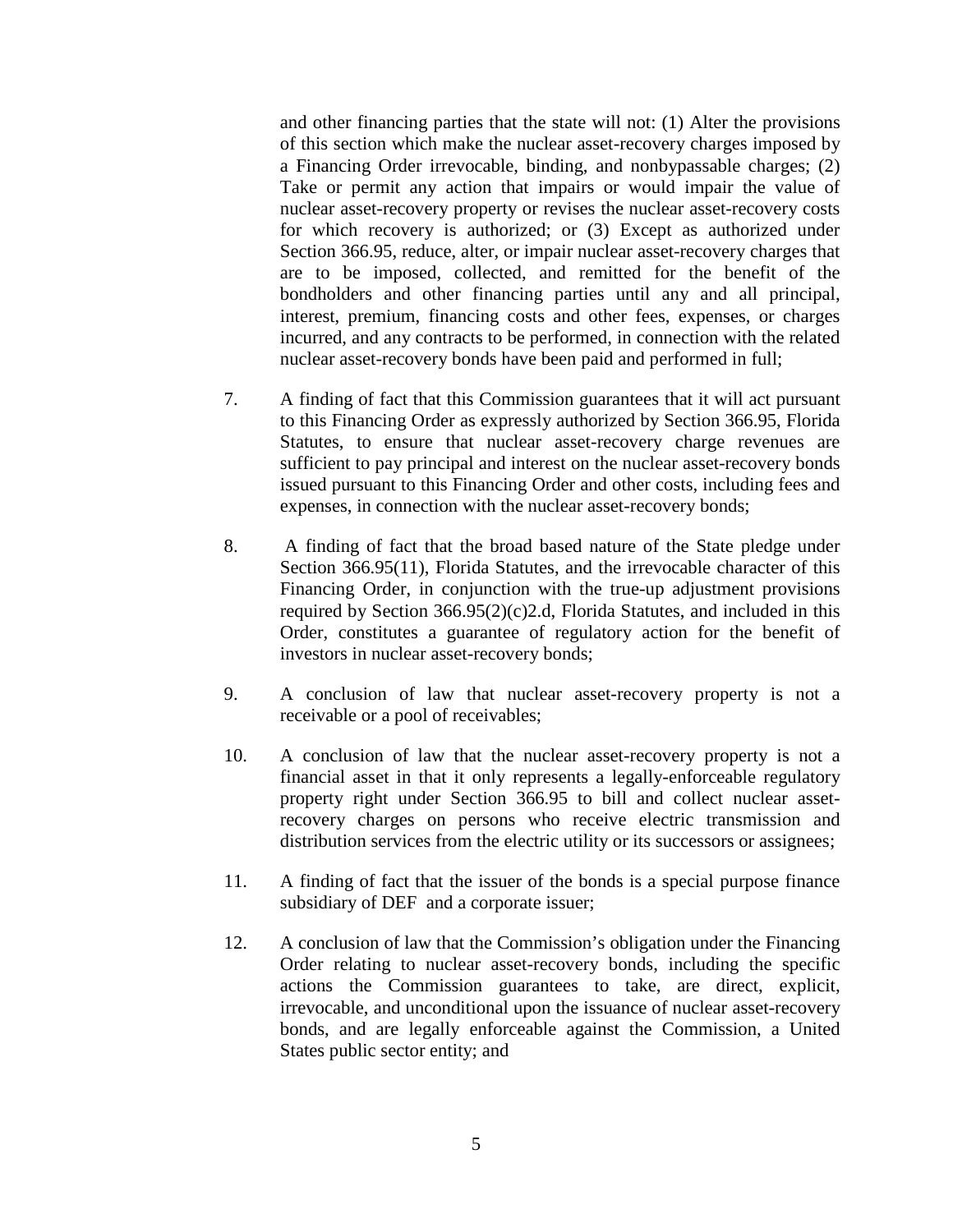and other financing parties that the state will not: (1) Alter the provisions of this section which make the nuclear asset-recovery charges imposed by a Financing Order irrevocable, binding, and nonbypassable charges; (2) Take or permit any action that impairs or would impair the value of nuclear asset-recovery property or revises the nuclear asset-recovery costs for which recovery is authorized; or (3) Except as authorized under Section 366.95, reduce, alter, or impair nuclear asset-recovery charges that are to be imposed, collected, and remitted for the benefit of the bondholders and other financing parties until any and all principal, interest, premium, financing costs and other fees, expenses, or charges incurred, and any contracts to be performed, in connection with the related nuclear asset-recovery bonds have been paid and performed in full;

- 7. A finding of fact that this Commission guarantees that it will act pursuant to this Financing Order as expressly authorized by Section 366.95, Florida Statutes, to ensure that nuclear asset-recovery charge revenues are sufficient to pay principal and interest on the nuclear asset-recovery bonds issued pursuant to this Financing Order and other costs, including fees and expenses, in connection with the nuclear asset-recovery bonds;
- 8. A finding of fact that the broad based nature of the State pledge under Section 366.95(11), Florida Statutes, and the irrevocable character of this Financing Order, in conjunction with the true-up adjustment provisions required by Section 366.95(2)(c)2.d, Florida Statutes, and included in this Order, constitutes a guarantee of regulatory action for the benefit of investors in nuclear asset-recovery bonds;
- 9. A conclusion of law that nuclear asset-recovery property is not a receivable or a pool of receivables;
- 10. A conclusion of law that the nuclear asset-recovery property is not a financial asset in that it only represents a legally-enforceable regulatory property right under Section 366.95 to bill and collect nuclear assetrecovery charges on persons who receive electric transmission and distribution services from the electric utility or its successors or assignees;
- 11. A finding of fact that the issuer of the bonds is a special purpose finance subsidiary of DEF and a corporate issuer;
- 12. A conclusion of law that the Commission's obligation under the Financing Order relating to nuclear asset-recovery bonds, including the specific actions the Commission guarantees to take, are direct, explicit, irrevocable, and unconditional upon the issuance of nuclear asset-recovery bonds, and are legally enforceable against the Commission, a United States public sector entity; and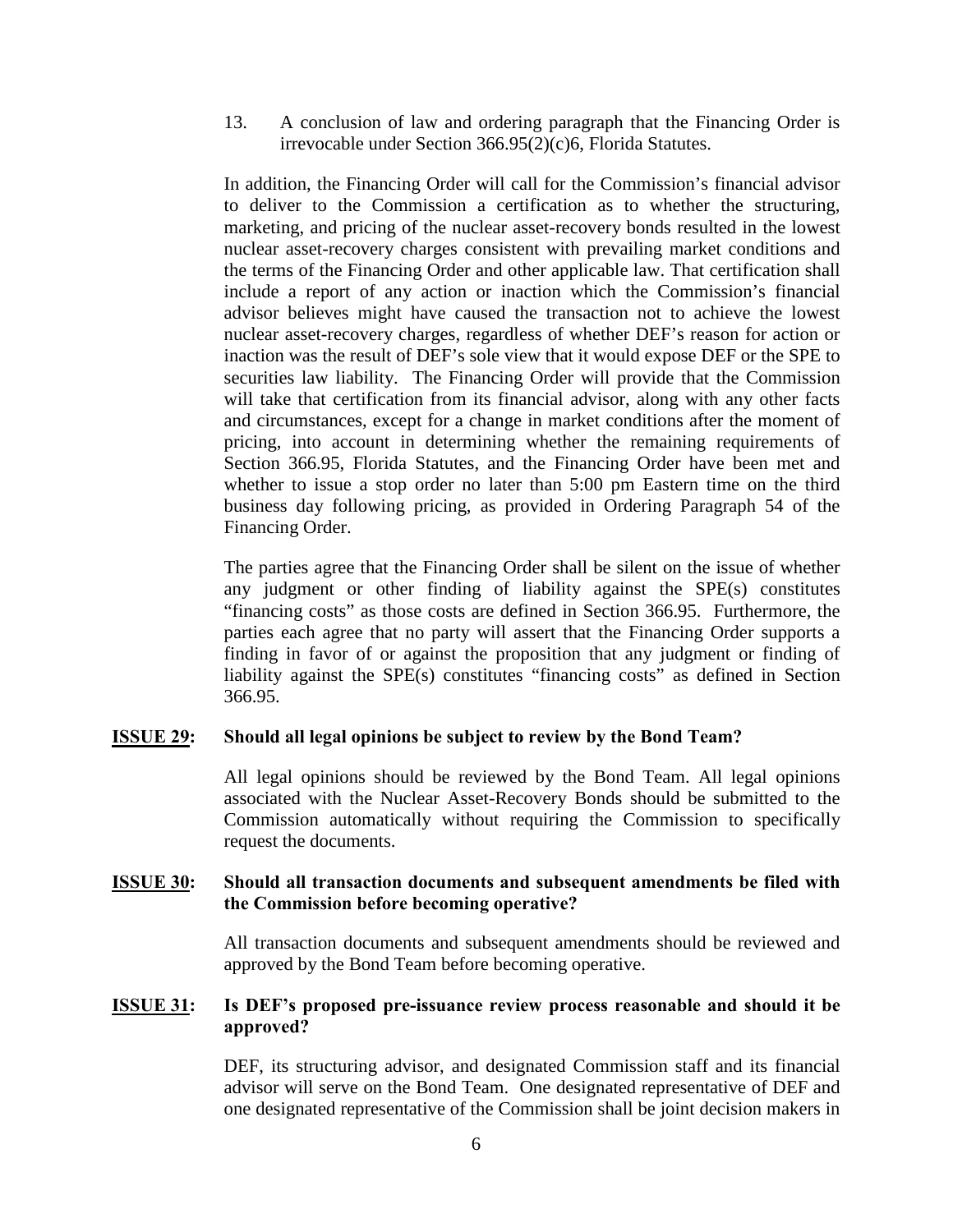13. A conclusion of law and ordering paragraph that the Financing Order is irrevocable under Section 366.95(2)(c)6, Florida Statutes.

In addition, the Financing Order will call for the Commission's financial advisor to deliver to the Commission a certification as to whether the structuring, marketing, and pricing of the nuclear asset-recovery bonds resulted in the lowest nuclear asset-recovery charges consistent with prevailing market conditions and the terms of the Financing Order and other applicable law. That certification shall include a report of any action or inaction which the Commission's financial advisor believes might have caused the transaction not to achieve the lowest nuclear asset-recovery charges, regardless of whether DEF's reason for action or inaction was the result of DEF's sole view that it would expose DEF or the SPE to securities law liability. The Financing Order will provide that the Commission will take that certification from its financial advisor, along with any other facts and circumstances, except for a change in market conditions after the moment of pricing, into account in determining whether the remaining requirements of Section 366.95, Florida Statutes, and the Financing Order have been met and whether to issue a stop order no later than 5:00 pm Eastern time on the third business day following pricing, as provided in Ordering Paragraph 54 of the Financing Order.

The parties agree that the Financing Order shall be silent on the issue of whether any judgment or other finding of liability against the SPE(s) constitutes "financing costs" as those costs are defined in Section 366.95. Furthermore, the parties each agree that no party will assert that the Financing Order supports a finding in favor of or against the proposition that any judgment or finding of liability against the SPE(s) constitutes "financing costs" as defined in Section 366.95.

#### **ISSUE 29: Should all legal opinions be subject to review by the Bond Team?**

All legal opinions should be reviewed by the Bond Team. All legal opinions associated with the Nuclear Asset-Recovery Bonds should be submitted to the Commission automatically without requiring the Commission to specifically request the documents.

#### **ISSUE 30: Should all transaction documents and subsequent amendments be filed with the Commission before becoming operative?**

All transaction documents and subsequent amendments should be reviewed and approved by the Bond Team before becoming operative.

#### **ISSUE 31: Is DEF's proposed pre-issuance review process reasonable and should it be approved?**

DEF, its structuring advisor, and designated Commission staff and its financial advisor will serve on the Bond Team. One designated representative of DEF and one designated representative of the Commission shall be joint decision makers in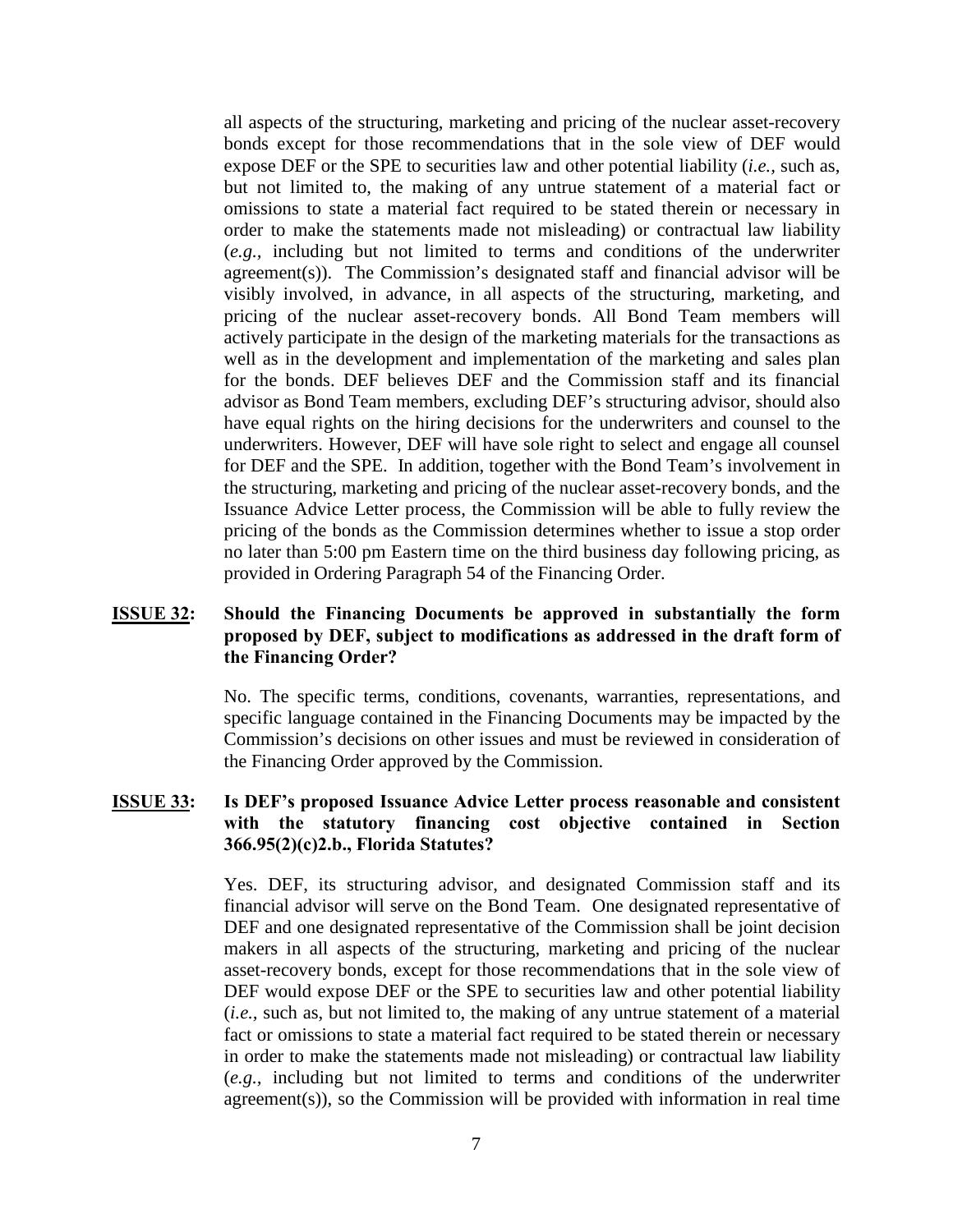all aspects of the structuring, marketing and pricing of the nuclear asset-recovery bonds except for those recommendations that in the sole view of DEF would expose DEF or the SPE to securities law and other potential liability (*i.e.,* such as, but not limited to, the making of any untrue statement of a material fact or omissions to state a material fact required to be stated therein or necessary in order to make the statements made not misleading) or contractual law liability (*e.g.,* including but not limited to terms and conditions of the underwriter agreement(s)). The Commission's designated staff and financial advisor will be visibly involved, in advance, in all aspects of the structuring, marketing, and pricing of the nuclear asset-recovery bonds. All Bond Team members will actively participate in the design of the marketing materials for the transactions as well as in the development and implementation of the marketing and sales plan for the bonds. DEF believes DEF and the Commission staff and its financial advisor as Bond Team members, excluding DEF's structuring advisor, should also have equal rights on the hiring decisions for the underwriters and counsel to the underwriters. However, DEF will have sole right to select and engage all counsel for DEF and the SPE. In addition, together with the Bond Team's involvement in the structuring, marketing and pricing of the nuclear asset-recovery bonds, and the Issuance Advice Letter process, the Commission will be able to fully review the pricing of the bonds as the Commission determines whether to issue a stop order no later than 5:00 pm Eastern time on the third business day following pricing, as provided in Ordering Paragraph 54 of the Financing Order.

#### **ISSUE 32: Should the Financing Documents be approved in substantially the form proposed by DEF, subject to modifications as addressed in the draft form of the Financing Order?**

No. The specific terms, conditions, covenants, warranties, representations, and specific language contained in the Financing Documents may be impacted by the Commission's decisions on other issues and must be reviewed in consideration of the Financing Order approved by the Commission.

# **ISSUE 33: Is DEF's proposed Issuance Advice Letter process reasonable and consistent with the statutory financing cost objective contained in Section 366.95(2)(c)2.b., Florida Statutes?**

Yes. DEF, its structuring advisor, and designated Commission staff and its financial advisor will serve on the Bond Team. One designated representative of DEF and one designated representative of the Commission shall be joint decision makers in all aspects of the structuring, marketing and pricing of the nuclear asset-recovery bonds, except for those recommendations that in the sole view of DEF would expose DEF or the SPE to securities law and other potential liability (*i.e.,* such as, but not limited to, the making of any untrue statement of a material fact or omissions to state a material fact required to be stated therein or necessary in order to make the statements made not misleading) or contractual law liability (*e.g.,* including but not limited to terms and conditions of the underwriter agreement(s)), so the Commission will be provided with information in real time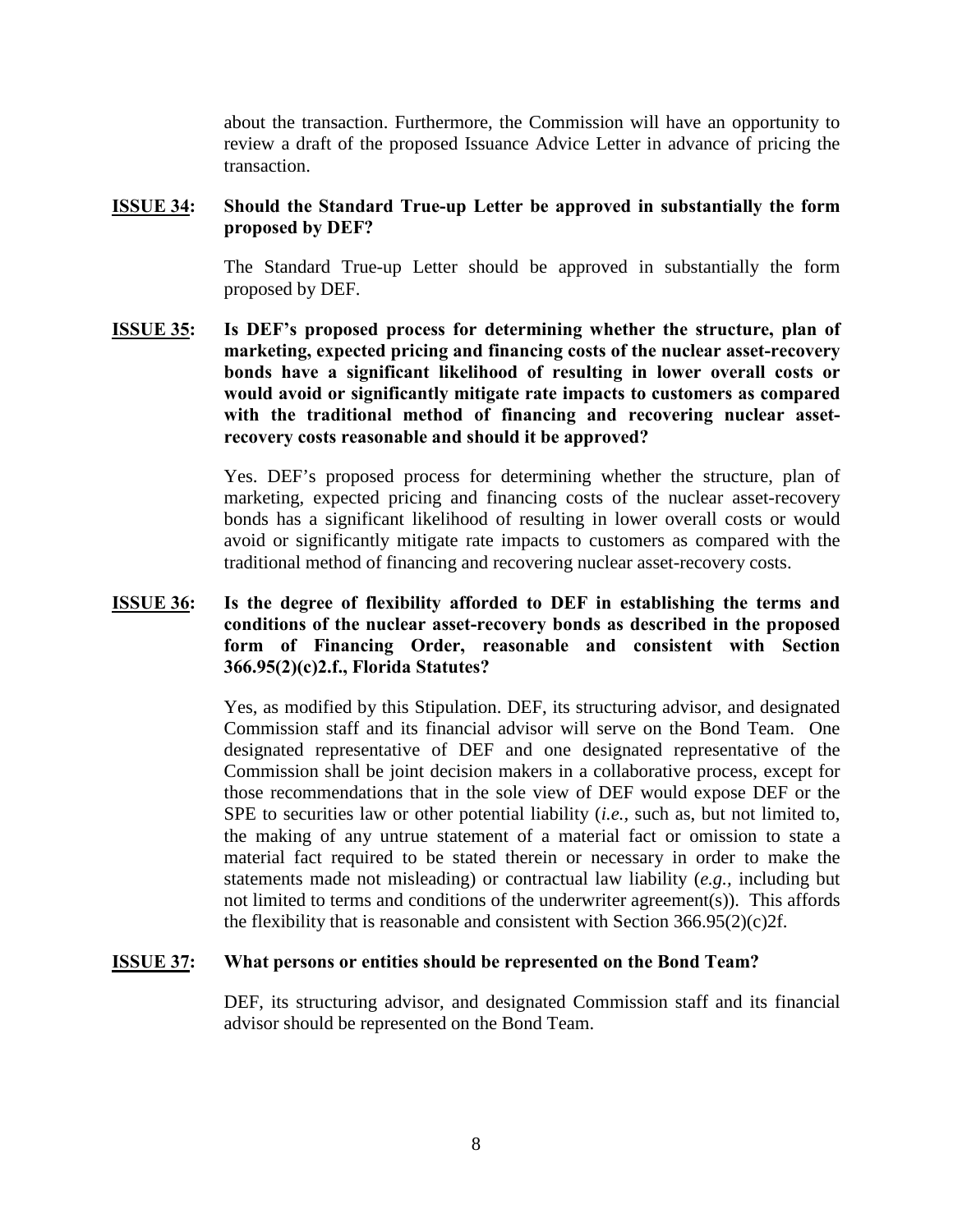about the transaction. Furthermore, the Commission will have an opportunity to review a draft of the proposed Issuance Advice Letter in advance of pricing the transaction.

#### **ISSUE 34: Should the Standard True-up Letter be approved in substantially the form proposed by DEF?**

The Standard True-up Letter should be approved in substantially the form proposed by DEF.

**ISSUE 35: Is DEF's proposed process for determining whether the structure, plan of marketing, expected pricing and financing costs of the nuclear asset-recovery bonds have a significant likelihood of resulting in lower overall costs or would avoid or significantly mitigate rate impacts to customers as compared with the traditional method of financing and recovering nuclear assetrecovery costs reasonable and should it be approved?**

> Yes. DEF's proposed process for determining whether the structure, plan of marketing, expected pricing and financing costs of the nuclear asset-recovery bonds has a significant likelihood of resulting in lower overall costs or would avoid or significantly mitigate rate impacts to customers as compared with the traditional method of financing and recovering nuclear asset-recovery costs.

# **ISSUE 36: Is the degree of flexibility afforded to DEF in establishing the terms and conditions of the nuclear asset-recovery bonds as described in the proposed form of Financing Order, reasonable and consistent with Section 366.95(2)(c)2.f., Florida Statutes?**

Yes, as modified by this Stipulation. DEF, its structuring advisor, and designated Commission staff and its financial advisor will serve on the Bond Team. One designated representative of DEF and one designated representative of the Commission shall be joint decision makers in a collaborative process, except for those recommendations that in the sole view of DEF would expose DEF or the SPE to securities law or other potential liability (*i.e.,* such as, but not limited to, the making of any untrue statement of a material fact or omission to state a material fact required to be stated therein or necessary in order to make the statements made not misleading) or contractual law liability (*e.g.,* including but not limited to terms and conditions of the underwriter agreement(s)). This affords the flexibility that is reasonable and consistent with Section 366.95(2)(c)2f.

#### **ISSUE 37: What persons or entities should be represented on the Bond Team?**

DEF, its structuring advisor, and designated Commission staff and its financial advisor should be represented on the Bond Team.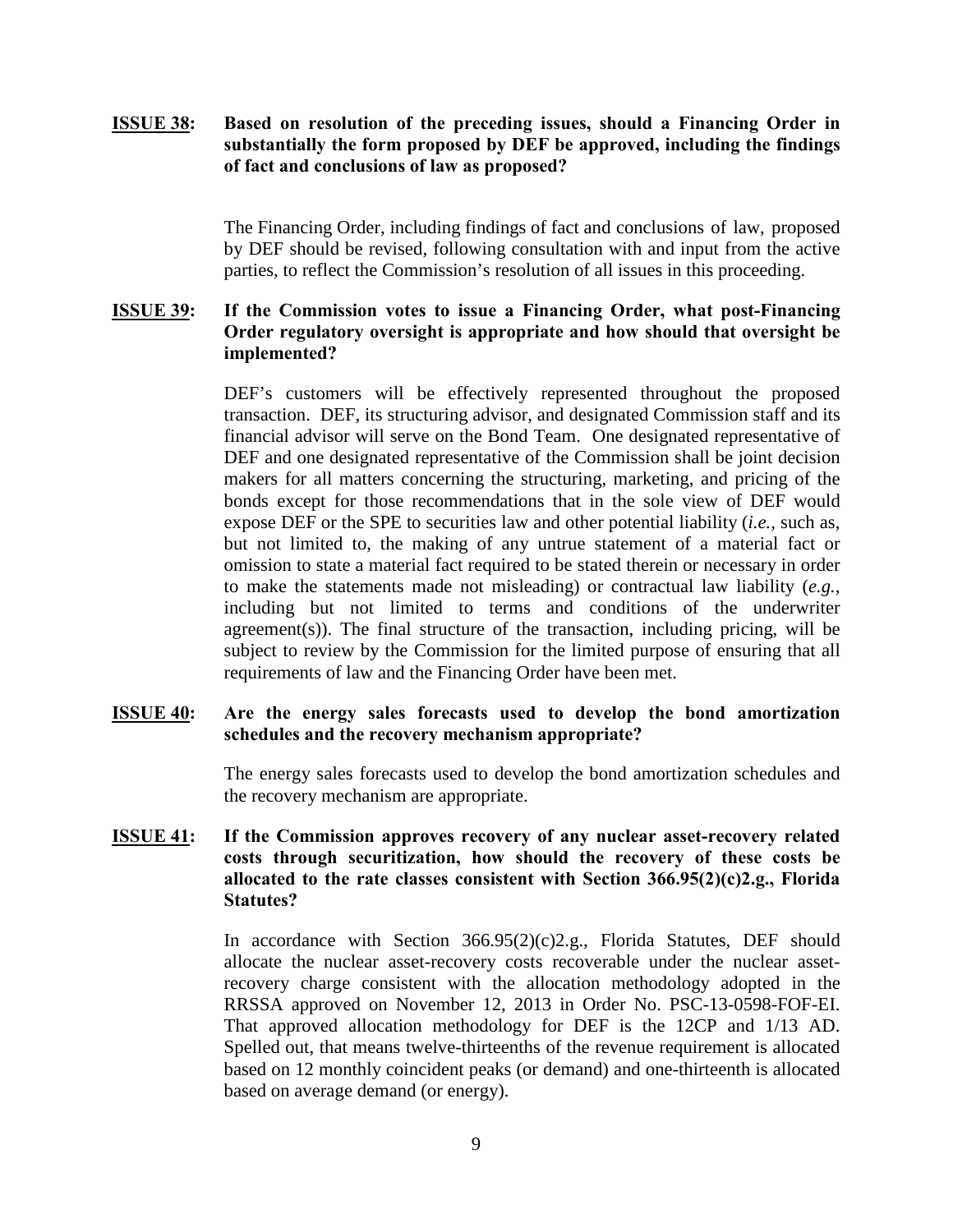# **ISSUE 38: Based on resolution of the preceding issues, should a Financing Order in substantially the form proposed by DEF be approved, including the findings of fact and conclusions of law as proposed?**

The Financing Order, including findings of fact and conclusions of law, proposed by DEF should be revised, following consultation with and input from the active parties, to reflect the Commission's resolution of all issues in this proceeding.

#### **ISSUE 39: If the Commission votes to issue a Financing Order, what post-Financing Order regulatory oversight is appropriate and how should that oversight be implemented?**

DEF's customers will be effectively represented throughout the proposed transaction. DEF, its structuring advisor, and designated Commission staff and its financial advisor will serve on the Bond Team. One designated representative of DEF and one designated representative of the Commission shall be joint decision makers for all matters concerning the structuring, marketing, and pricing of the bonds except for those recommendations that in the sole view of DEF would expose DEF or the SPE to securities law and other potential liability (*i.e.,* such as, but not limited to, the making of any untrue statement of a material fact or omission to state a material fact required to be stated therein or necessary in order to make the statements made not misleading) or contractual law liability (*e.g.,* including but not limited to terms and conditions of the underwriter agreement(s)). The final structure of the transaction, including pricing, will be subject to review by the Commission for the limited purpose of ensuring that all requirements of law and the Financing Order have been met.

# **ISSUE 40: Are the energy sales forecasts used to develop the bond amortization schedules and the recovery mechanism appropriate?**

The energy sales forecasts used to develop the bond amortization schedules and the recovery mechanism are appropriate.

# **ISSUE 41: If the Commission approves recovery of any nuclear asset-recovery related costs through securitization, how should the recovery of these costs be allocated to the rate classes consistent with Section 366.95(2)(c)2.g., Florida Statutes?**

In accordance with Section 366.95(2)(c)2.g., Florida Statutes, DEF should allocate the nuclear asset-recovery costs recoverable under the nuclear assetrecovery charge consistent with the allocation methodology adopted in the RRSSA approved on November 12, 2013 in Order No. PSC-13-0598-FOF-EI. That approved allocation methodology for DEF is the 12CP and 1/13 AD. Spelled out, that means twelve-thirteenths of the revenue requirement is allocated based on 12 monthly coincident peaks (or demand) and one-thirteenth is allocated based on average demand (or energy).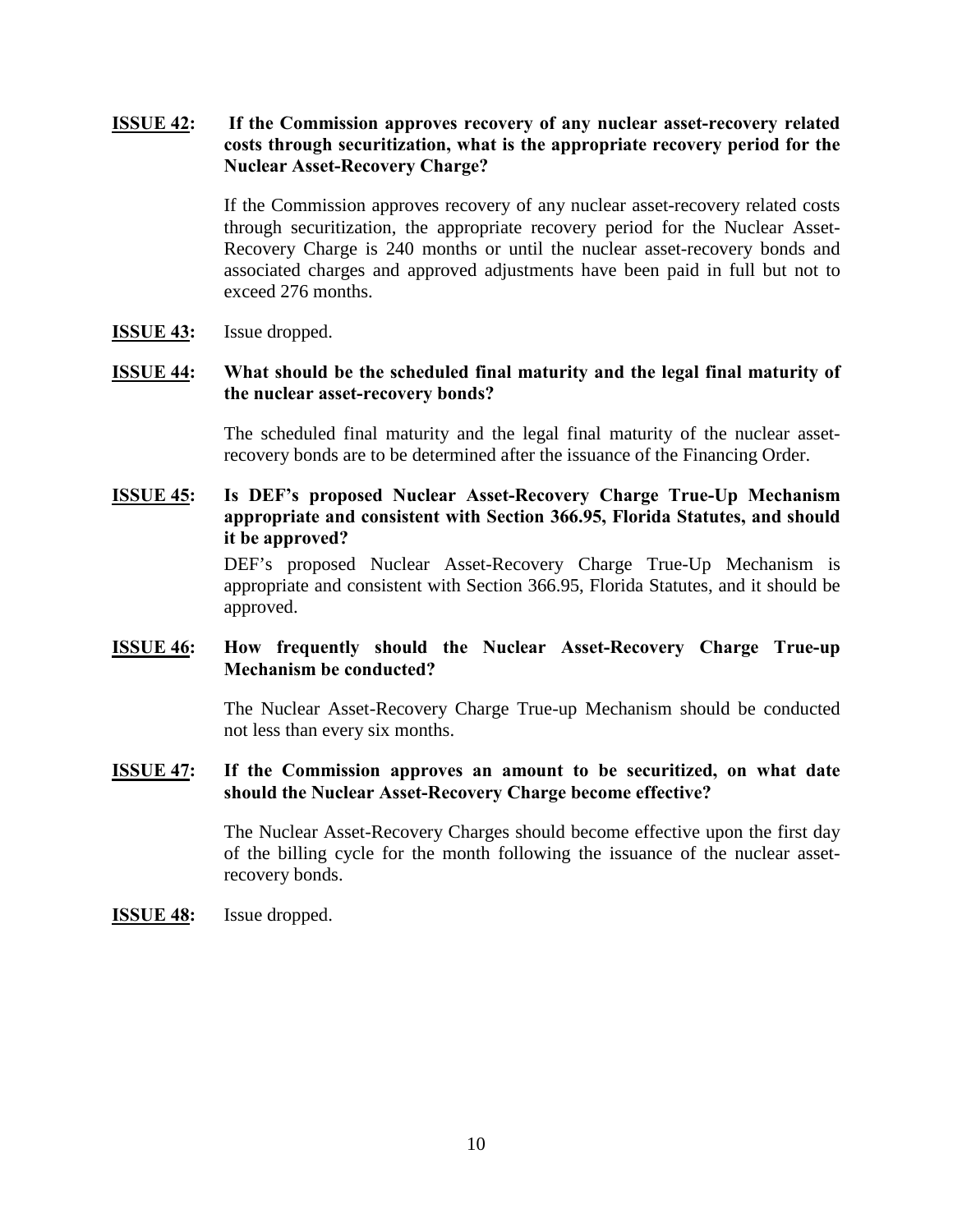# **ISSUE 42: If the Commission approves recovery of any nuclear asset-recovery related costs through securitization, what is the appropriate recovery period for the Nuclear Asset-Recovery Charge?**

If the Commission approves recovery of any nuclear asset-recovery related costs through securitization, the appropriate recovery period for the Nuclear Asset-Recovery Charge is 240 months or until the nuclear asset-recovery bonds and associated charges and approved adjustments have been paid in full but not to exceed 276 months.

**ISSUE 43:** Issue dropped.

# **ISSUE 44: What should be the scheduled final maturity and the legal final maturity of the nuclear asset-recovery bonds?**

The scheduled final maturity and the legal final maturity of the nuclear assetrecovery bonds are to be determined after the issuance of the Financing Order.

# **ISSUE 45: Is DEF's proposed Nuclear Asset-Recovery Charge True-Up Mechanism appropriate and consistent with Section 366.95, Florida Statutes, and should it be approved?**

DEF's proposed Nuclear Asset-Recovery Charge True-Up Mechanism is appropriate and consistent with Section 366.95, Florida Statutes, and it should be approved.

# **ISSUE 46: How frequently should the Nuclear Asset-Recovery Charge True-up Mechanism be conducted?**

The Nuclear Asset-Recovery Charge True-up Mechanism should be conducted not less than every six months.

#### **ISSUE 47: If the Commission approves an amount to be securitized, on what date should the Nuclear Asset-Recovery Charge become effective?**

The Nuclear Asset-Recovery Charges should become effective upon the first day of the billing cycle for the month following the issuance of the nuclear assetrecovery bonds.

#### **ISSUE 48:** Issue dropped.